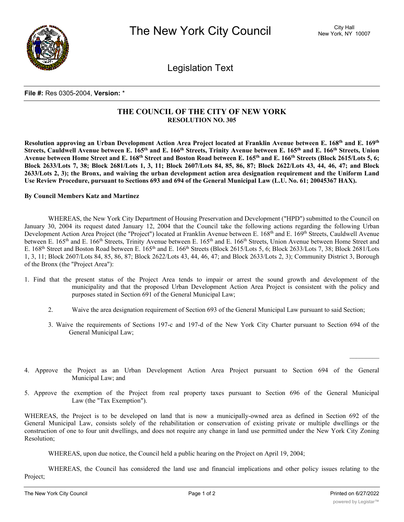

Legislation Text

## **File #:** Res 0305-2004, **Version:** \*

## **THE COUNCIL OF THE CITY OF NEW YORK RESOLUTION NO. 305**

Resolution approving an Urban Development Action Area Project located at Franklin Avenue between E. 168th and E. 169th Streets, Cauldwell Avenue between E. 165<sup>th</sup> and E. 166<sup>th</sup> Streets, Trinity Avenue between E. 165<sup>th</sup> and E. 166<sup>th</sup> Streets, Union Avenue between Home Street and E. 168<sup>th</sup> Street and Boston Road between E. 165<sup>th</sup> and E. 166<sup>th</sup> Streets (Block 2615/Lots 5, 6; Block 2633/Lots 7, 38; Block 2681/Lots 1, 3, 11; Block 2607/Lots 84, 85, 86, 87; Block 2622/Lots 43, 44, 46, 47; and Block 2633/Lots 2, 3); the Bronx, and waiving the urban development action area designation requirement and the Uniform Land **Use Review Procedure, pursuant to Sections 693 and 694 of the General Municipal Law (L.U. No. 61; 20045367 HAX).**

## **By Council Members Katz and Martinez**

WHEREAS, the New York City Department of Housing Preservation and Development ("HPD") submitted to the Council on January 30, 2004 its request dated January 12, 2004 that the Council take the following actions regarding the following Urban Development Action Area Project (the "Project") located at Franklin Avenue between E. 168<sup>th</sup> and E. 169<sup>th</sup> Streets, Cauldwell Avenue between E. 165<sup>th</sup> and E. 166<sup>th</sup> Streets, Trinity Avenue between E. 165<sup>th</sup> and E. 166<sup>th</sup> Streets, Union Avenue between Home Street and E. 168<sup>th</sup> Street and Boston Road between E. 165<sup>th</sup> and E. 166<sup>th</sup> Streets (Block 2615/Lots 5, 6; Block 2633/Lots 7, 38; Block 2681/Lots 1, 3, 11; Block 2607/Lots 84, 85, 86, 87; Block 2622/Lots 43, 44, 46, 47; and Block 2633/Lots 2, 3); Community District 3, Borough of the Bronx (the "Project Area"):

- 1. Find that the present status of the Project Area tends to impair or arrest the sound growth and development of the municipality and that the proposed Urban Development Action Area Project is consistent with the policy and purposes stated in Section 691 of the General Municipal Law;
	- 2. Waive the area designation requirement of Section 693 of the General Municipal Law pursuant to said Section;
	- 3. Waive the requirements of Sections 197-c and 197-d of the New York City Charter pursuant to Section 694 of the General Municipal Law;
- 4. Approve the Project as an Urban Development Action Area Project pursuant to Section 694 of the General Municipal Law; and
- 5. Approve the exemption of the Project from real property taxes pursuant to Section 696 of the General Municipal Law (the "Tax Exemption").

WHEREAS, the Project is to be developed on land that is now a municipally-owned area as defined in Section 692 of the General Municipal Law, consists solely of the rehabilitation or conservation of existing private or multiple dwellings or the construction of one to four unit dwellings, and does not require any change in land use permitted under the New York City Zoning Resolution;

WHEREAS, upon due notice, the Council held a public hearing on the Project on April 19, 2004;

WHEREAS, the Council has considered the land use and financial implications and other policy issues relating to the Project;

 $\frac{1}{2}$